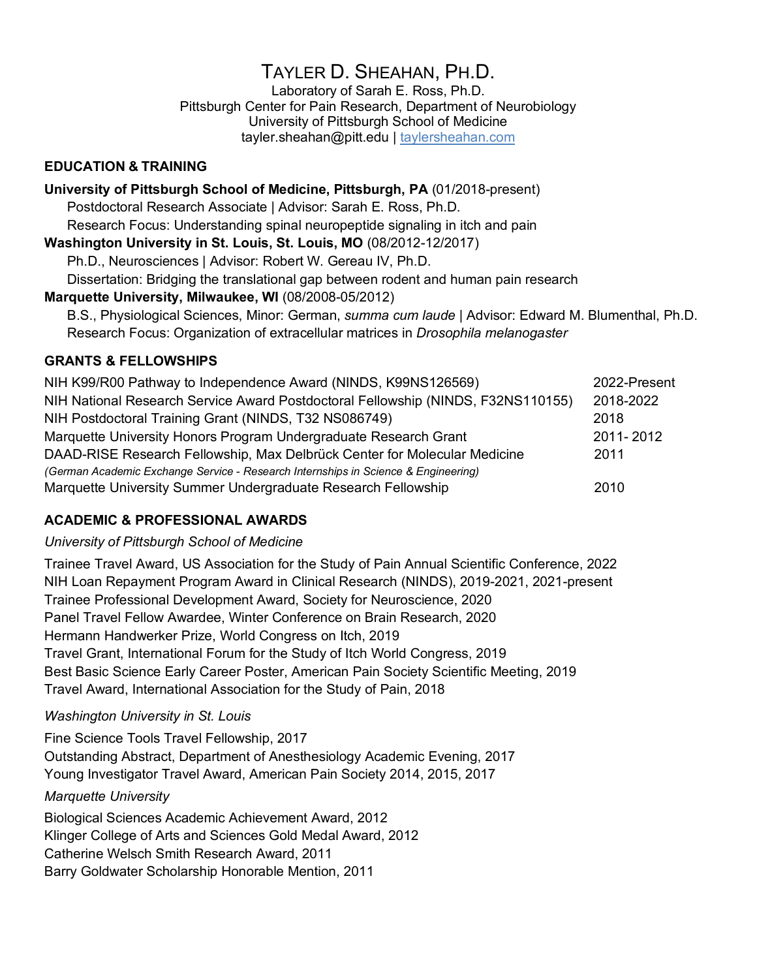# TAYLER D. SHEAHAN, PH.D.

Laboratory of Sarah E. Ross, Ph.D. Pittsburgh Center for Pain Research, Department of Neurobiology University of Pittsburgh School of Medicine tayler.sheahan@pitt.edu | taylersheahan.com

## **EDUCATION & TRAINING**

**University of Pittsburgh School of Medicine, Pittsburgh, PA** (01/2018-present) Postdoctoral Research Associate | Advisor: Sarah E. Ross, Ph.D. Research Focus: Understanding spinal neuropeptide signaling in itch and pain **Washington University in St. Louis, St. Louis, MO** (08/2012-12/2017) Ph.D., Neurosciences | Advisor: Robert W. Gereau IV, Ph.D. Dissertation: Bridging the translational gap between rodent and human pain research **Marquette University, Milwaukee, WI** (08/2008-05/2012) B.S., Physiological Sciences, Minor: German, *summa cum laude* | Advisor: Edward M. Blumenthal, Ph.D. Research Focus: Organization of extracellular matrices in *Drosophila melanogaster*

## **GRANTS & FELLOWSHIPS**

| NIH K99/R00 Pathway to Independence Award (NINDS, K99NS126569)                     | 2022-Present |
|------------------------------------------------------------------------------------|--------------|
| NIH National Research Service Award Postdoctoral Fellowship (NINDS, F32NS110155)   | 2018-2022    |
| NIH Postdoctoral Training Grant (NINDS, T32 NS086749)                              | 2018         |
| Marquette University Honors Program Undergraduate Research Grant                   | 2011-2012    |
| DAAD-RISE Research Fellowship, Max Delbrück Center for Molecular Medicine          | 2011         |
| (German Academic Exchange Service - Research Internships in Science & Engineering) |              |
| Marquette University Summer Undergraduate Research Fellowship                      | 2010         |

# **ACADEMIC & PROFESSIONAL AWARDS**

#### *University of Pittsburgh School of Medicine*

Trainee Travel Award, US Association for the Study of Pain Annual Scientific Conference, 2022 NIH Loan Repayment Program Award in Clinical Research (NINDS), 2019-2021, 2021-present Trainee Professional Development Award, Society for Neuroscience, 2020 Panel Travel Fellow Awardee, Winter Conference on Brain Research, 2020 Hermann Handwerker Prize, World Congress on Itch, 2019 Travel Grant, International Forum for the Study of Itch World Congress, 2019 Best Basic Science Early Career Poster, American Pain Society Scientific Meeting, 2019 Travel Award, International Association for the Study of Pain, 2018

# *Washington University in St. Louis*

Fine Science Tools Travel Fellowship, 2017 Outstanding Abstract, Department of Anesthesiology Academic Evening, 2017 Young Investigator Travel Award, American Pain Society 2014, 2015, 2017

#### *Marquette University*

Biological Sciences Academic Achievement Award, 2012 Klinger College of Arts and Sciences Gold Medal Award, 2012 Catherine Welsch Smith Research Award, 2011 Barry Goldwater Scholarship Honorable Mention, 2011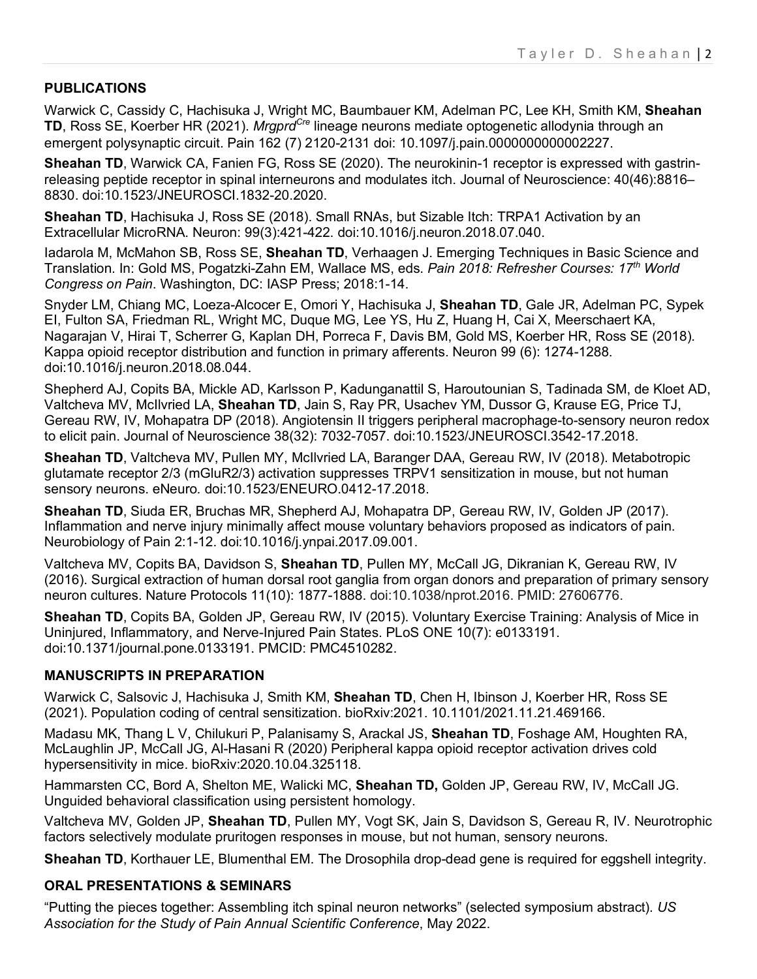## **PUBLICATIONS**

Warwick C, Cassidy C, Hachisuka J, Wright MC, Baumbauer KM, Adelman PC, Lee KH, Smith KM, **Sheahan TD**, Ross SE, Koerber HR (2021). *MrgprdCre* lineage neurons mediate optogenetic allodynia through an emergent polysynaptic circuit. Pain 162 (7) 2120-2131 doi: 10.1097/j.pain.0000000000002227.

**Sheahan TD**, Warwick CA, Fanien FG, Ross SE (2020). The neurokinin-1 receptor is expressed with gastrinreleasing peptide receptor in spinal interneurons and modulates itch. Journal of Neuroscience: 40(46):8816– 8830. doi:10.1523/JNEUROSCI.1832-20.2020.

**Sheahan TD**, Hachisuka J, Ross SE (2018). Small RNAs, but Sizable Itch: TRPA1 Activation by an Extracellular MicroRNA. Neuron: 99(3):421-422. doi:10.1016/j.neuron.2018.07.040.

Iadarola M, McMahon SB, Ross SE, **Sheahan TD**, Verhaagen J. Emerging Techniques in Basic Science and Translation. In: Gold MS, Pogatzki-Zahn EM, Wallace MS, eds. *Pain 2018: Refresher Courses: 17th World Congress on Pain*. Washington, DC: IASP Press; 2018:1-14.

Snyder LM, Chiang MC, Loeza-Alcocer E, Omori Y, Hachisuka J, **Sheahan TD**, Gale JR, Adelman PC, Sypek EI, Fulton SA, Friedman RL, Wright MC, Duque MG, Lee YS, Hu Z, Huang H, Cai X, Meerschaert KA, Nagarajan V, Hirai T, Scherrer G, Kaplan DH, Porreca F, Davis BM, Gold MS, Koerber HR, Ross SE (2018). Kappa opioid receptor distribution and function in primary afferents. Neuron 99 (6): 1274-1288. doi:10.1016/j.neuron.2018.08.044.

Shepherd AJ, Copits BA, Mickle AD, Karlsson P, Kadunganattil S, Haroutounian S, Tadinada SM, de Kloet AD, Valtcheva MV, McIlvried LA, **Sheahan TD**, Jain S, Ray PR, Usachev YM, Dussor G, Krause EG, Price TJ, Gereau RW, IV, Mohapatra DP (2018). Angiotensin II triggers peripheral macrophage-to-sensory neuron redox to elicit pain. Journal of Neuroscience 38(32): 7032-7057. doi:10.1523/JNEUROSCI.3542-17.2018.

**Sheahan TD**, Valtcheva MV, Pullen MY, McIlvried LA, Baranger DAA, Gereau RW, IV (2018). Metabotropic glutamate receptor 2/3 (mGluR2/3) activation suppresses TRPV1 sensitization in mouse, but not human sensory neurons. eNeuro*.* doi:10.1523/ENEURO.0412-17.2018.

**Sheahan TD**, Siuda ER, Bruchas MR, Shepherd AJ, Mohapatra DP, Gereau RW, IV, Golden JP (2017). Inflammation and nerve injury minimally affect mouse voluntary behaviors proposed as indicators of pain. Neurobiology of Pain 2:1-12. doi:10.1016/j.ynpai.2017.09.001.

Valtcheva MV, Copits BA, Davidson S, **Sheahan TD**, Pullen MY, McCall JG, Dikranian K, Gereau RW, IV (2016). Surgical extraction of human dorsal root ganglia from organ donors and preparation of primary sensory neuron cultures. Nature Protocols 11(10): 1877-1888. doi:10.1038/nprot.2016. PMID: 27606776.

**Sheahan TD**, Copits BA, Golden JP, Gereau RW, IV (2015). Voluntary Exercise Training: Analysis of Mice in Uninjured, Inflammatory, and Nerve-Injured Pain States. PLoS ONE 10(7): e0133191. doi:10.1371/journal.pone.0133191. PMCID: PMC4510282.

#### **MANUSCRIPTS IN PREPARATION**

Warwick C, Salsovic J, Hachisuka J, Smith KM, **Sheahan TD**, Chen H, Ibinson J, Koerber HR, Ross SE (2021). Population coding of central sensitization. bioRxiv:2021. 10.1101/2021.11.21.469166.

Madasu MK, Thang L V, Chilukuri P, Palanisamy S, Arackal JS, **Sheahan TD**, Foshage AM, Houghten RA, McLaughlin JP, McCall JG, Al-Hasani R (2020) Peripheral kappa opioid receptor activation drives cold hypersensitivity in mice. bioRxiv:2020.10.04.325118.

Hammarsten CC, Bord A, Shelton ME, Walicki MC, **Sheahan TD,** Golden JP, Gereau RW, IV, McCall JG. Unguided behavioral classification using persistent homology.

Valtcheva MV, Golden JP, **Sheahan TD**, Pullen MY, Vogt SK, Jain S, Davidson S, Gereau R, IV. Neurotrophic factors selectively modulate pruritogen responses in mouse, but not human, sensory neurons.

**Sheahan TD**, Korthauer LE, Blumenthal EM. The Drosophila drop-dead gene is required for eggshell integrity.

#### **ORAL PRESENTATIONS & SEMINARS**

"Putting the pieces together: Assembling itch spinal neuron networks" (selected symposium abstract). *US Association for the Study of Pain Annual Scientific Conference*, May 2022.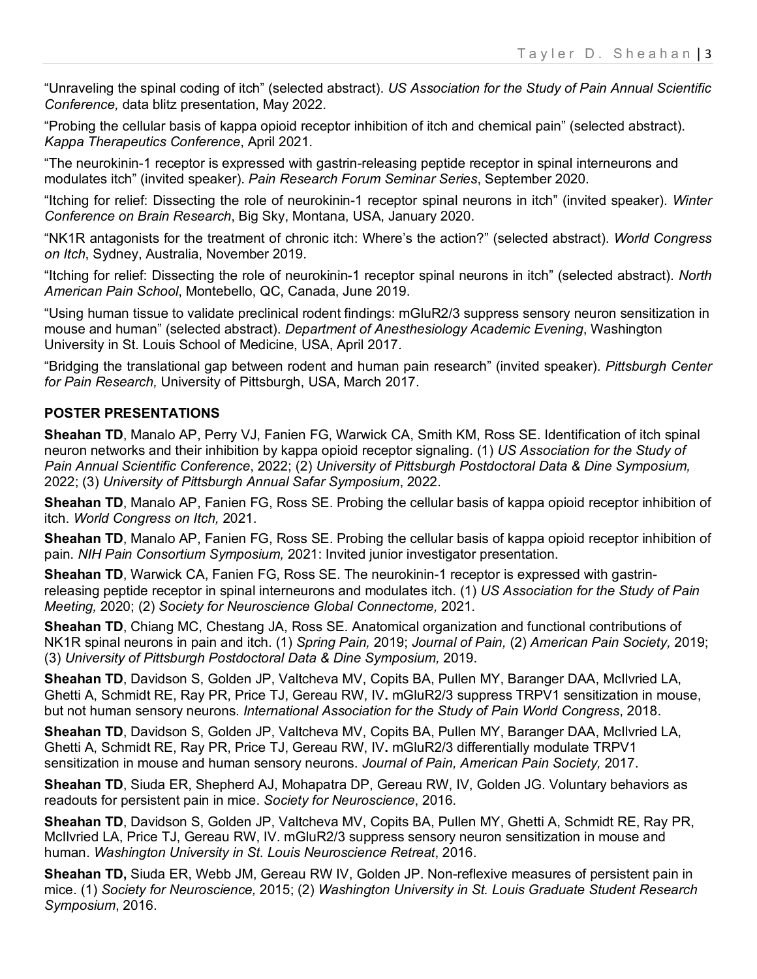"Unraveling the spinal coding of itch" (selected abstract). *US Association for the Study of Pain Annual Scientific Conference,* data blitz presentation, May 2022.

"Probing the cellular basis of kappa opioid receptor inhibition of itch and chemical pain" (selected abstract). *Kappa Therapeutics Conference*, April 2021.

"The neurokinin-1 receptor is expressed with gastrin-releasing peptide receptor in spinal interneurons and modulates itch" (invited speaker). *Pain Research Forum Seminar Series*, September 2020.

"Itching for relief: Dissecting the role of neurokinin-1 receptor spinal neurons in itch" (invited speaker). *Winter Conference on Brain Research*, Big Sky, Montana, USA, January 2020.

"NK1R antagonists for the treatment of chronic itch: Where's the action?" (selected abstract). *World Congress on Itch*, Sydney, Australia, November 2019.

"Itching for relief: Dissecting the role of neurokinin-1 receptor spinal neurons in itch" (selected abstract). *North American Pain School*, Montebello, QC, Canada, June 2019.

"Using human tissue to validate preclinical rodent findings: mGluR2/3 suppress sensory neuron sensitization in mouse and human" (selected abstract). *Department of Anesthesiology Academic Evening*, Washington University in St. Louis School of Medicine, USA, April 2017.

"Bridging the translational gap between rodent and human pain research" (invited speaker). *Pittsburgh Center for Pain Research,* University of Pittsburgh, USA, March 2017.

#### **POSTER PRESENTATIONS**

**Sheahan TD**, Manalo AP, Perry VJ, Fanien FG, Warwick CA, Smith KM, Ross SE. Identification of itch spinal neuron networks and their inhibition by kappa opioid receptor signaling. (1) *US Association for the Study of Pain Annual Scientific Conference*, 2022; (2) *University of Pittsburgh Postdoctoral Data & Dine Symposium,*  2022; (3) *University of Pittsburgh Annual Safar Symposium*, 2022.

**Sheahan TD**, Manalo AP, Fanien FG, Ross SE. Probing the cellular basis of kappa opioid receptor inhibition of itch. *World Congress on Itch,* 2021.

**Sheahan TD**, Manalo AP, Fanien FG, Ross SE. Probing the cellular basis of kappa opioid receptor inhibition of pain. *NIH Pain Consortium Symposium,* 2021: Invited junior investigator presentation.

**Sheahan TD, Warwick CA, Fanien FG, Ross SE. The neurokinin-1 receptor is expressed with gastrin**releasing peptide receptor in spinal interneurons and modulates itch. (1) *US Association for the Study of Pain Meeting,* 2020; (2) *Society for Neuroscience Global Connectome,* 2021.

**Sheahan TD**, Chiang MC, Chestang JA, Ross SE. Anatomical organization and functional contributions of NK1R spinal neurons in pain and itch. (1) *Spring Pain,* 2019; *Journal of Pain,* (2) *American Pain Society,* 2019; (3) *University of Pittsburgh Postdoctoral Data & Dine Symposium,* 2019.

**Sheahan TD**, Davidson S, Golden JP, Valtcheva MV, Copits BA, Pullen MY, Baranger DAA, McIlvried LA, Ghetti A, Schmidt RE, Ray PR, Price TJ, Gereau RW, IV**.** mGluR2/3 suppress TRPV1 sensitization in mouse, but not human sensory neurons. *International Association for the Study of Pain World Congress*, 2018.

**Sheahan TD**, Davidson S, Golden JP, Valtcheva MV, Copits BA, Pullen MY, Baranger DAA, McIlvried LA, Ghetti A, Schmidt RE, Ray PR, Price TJ, Gereau RW, IV**.** mGluR2/3 differentially modulate TRPV1 sensitization in mouse and human sensory neurons. *Journal of Pain, American Pain Society,* 2017.

**Sheahan TD**, Siuda ER, Shepherd AJ, Mohapatra DP, Gereau RW, IV, Golden JG. Voluntary behaviors as readouts for persistent pain in mice. *Society for Neuroscience*, 2016.

**Sheahan TD**, Davidson S, Golden JP, Valtcheva MV, Copits BA, Pullen MY, Ghetti A, Schmidt RE, Ray PR, McIlvried LA, Price TJ, Gereau RW, IV. mGluR2/3 suppress sensory neuron sensitization in mouse and human. *Washington University in St. Louis Neuroscience Retreat*, 2016.

**Sheahan TD,** Siuda ER, Webb JM, Gereau RW IV, Golden JP. Non-reflexive measures of persistent pain in mice. (1) *Society for Neuroscience,* 2015; (2) *Washington University in St. Louis Graduate Student Research Symposium*, 2016.